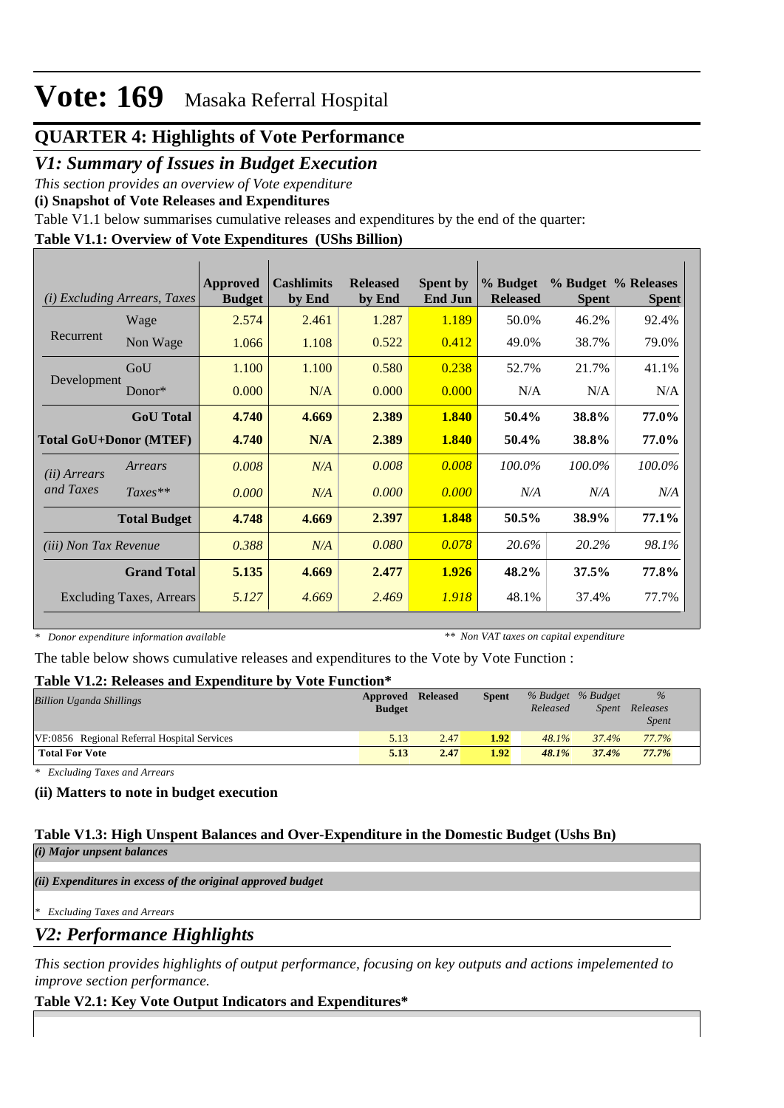### **QUARTER 4: Highlights of Vote Performance**

### *V1: Summary of Issues in Budget Execution*

*This section provides an overview of Vote expenditure* 

**(i) Snapshot of Vote Releases and Expenditures**

Table V1.1 below summarises cumulative releases and expenditures by the end of the quarter:

### **Table V1.1: Overview of Vote Expenditures (UShs Billion)**

|                               | (i) Excluding Arrears, Taxes | Approved<br><b>Budget</b> | <b>Cashlimits</b><br>by End | <b>Released</b><br>by End | <b>Spent by</b><br><b>End Jun</b> | % Budget<br><b>Released</b> | <b>Spent</b> | % Budget % Releases<br><b>Spent</b> |
|-------------------------------|------------------------------|---------------------------|-----------------------------|---------------------------|-----------------------------------|-----------------------------|--------------|-------------------------------------|
|                               | Wage                         | 2.574                     | 2.461                       | 1.287                     | 1.189                             | 50.0%                       | 46.2%        | 92.4%                               |
| Recurrent                     | Non Wage                     | 1.066                     | 1.108                       | 0.522                     | 0.412                             | 49.0%                       | 38.7%        | 79.0%                               |
|                               | GoU                          | 1.100                     | 1.100                       | 0.580                     | 0.238                             | 52.7%                       | 21.7%        | 41.1%                               |
| Development                   | $Donor*$                     | 0.000                     | N/A                         | 0.000                     | 0.000                             | N/A                         | N/A          | N/A                                 |
|                               | <b>GoU</b> Total             | 4.740                     | 4.669                       | 2.389                     | 1.840                             | 50.4%                       | 38.8%        | 77.0%                               |
| <b>Total GoU+Donor (MTEF)</b> |                              | 4.740                     | N/A                         | 2.389                     | 1.840                             | 50.4%                       | 38.8%        | 77.0%                               |
| ( <i>ii</i> ) Arrears         | Arrears                      | 0.008                     | N/A                         | 0.008                     | 0.008                             | 100.0%                      | 100.0%       | 100.0%                              |
| and Taxes                     | $Taxes**$                    | 0.000                     | N/A                         | 0.000                     | 0.000                             | N/A                         | N/A          | N/A                                 |
|                               | <b>Total Budget</b>          | 4.748                     | 4.669                       | 2.397                     | 1.848                             | 50.5%                       | 38.9%        | 77.1%                               |
| (iii) Non Tax Revenue         |                              | 0.388                     | N/A                         | 0.080                     | 0.078                             | 20.6%                       | 20.2%        | 98.1%                               |
|                               | <b>Grand Total</b>           | 5.135                     | 4.669                       | 2.477                     | 1.926                             | 48.2%                       | 37.5%        | 77.8%                               |
|                               | Excluding Taxes, Arrears     | 5.127                     | 4.669                       | 2.469                     | 1.918                             | 48.1%                       | 37.4%        | 77.7%                               |

*\* Donor expenditure information available*

*\*\* Non VAT taxes on capital expenditure*

The table below shows cumulative releases and expenditures to the Vote by Vote Function :

### **Table V1.2: Releases and Expenditure by Vote Function\***

| <b>Billion Uganda Shillings</b>             | Approved Released<br><b>Budget</b> |      | <b>Spent</b> | Released | % Budget % Budget<br>Spent | $\frac{9}{6}$<br>Releases<br><b>Spent</b> |
|---------------------------------------------|------------------------------------|------|--------------|----------|----------------------------|-------------------------------------------|
| VF:0856 Regional Referral Hospital Services | 5.13                               | 2.47 | 1.92         | $48.1\%$ | 37.4%                      | 77.7%                                     |
| <b>Total For Vote</b>                       | 5.13                               | 2.47 | 1.92         | 48.1%    | 37.4%                      | 77.7%                                     |

*\* Excluding Taxes and Arrears*

### **(ii) Matters to note in budget execution**

#### **Table V1.3: High Unspent Balances and Over-Expenditure in the Domestic Budget (Ushs Bn)** *(i) Major unpsent balances*

*(ii) Expenditures in excess of the original approved budget*

*\* Excluding Taxes and Arrears*

*V2: Performance Highlights*

*This section provides highlights of output performance, focusing on key outputs and actions impelemented to improve section performance.*

### **Table V2.1: Key Vote Output Indicators and Expenditures\***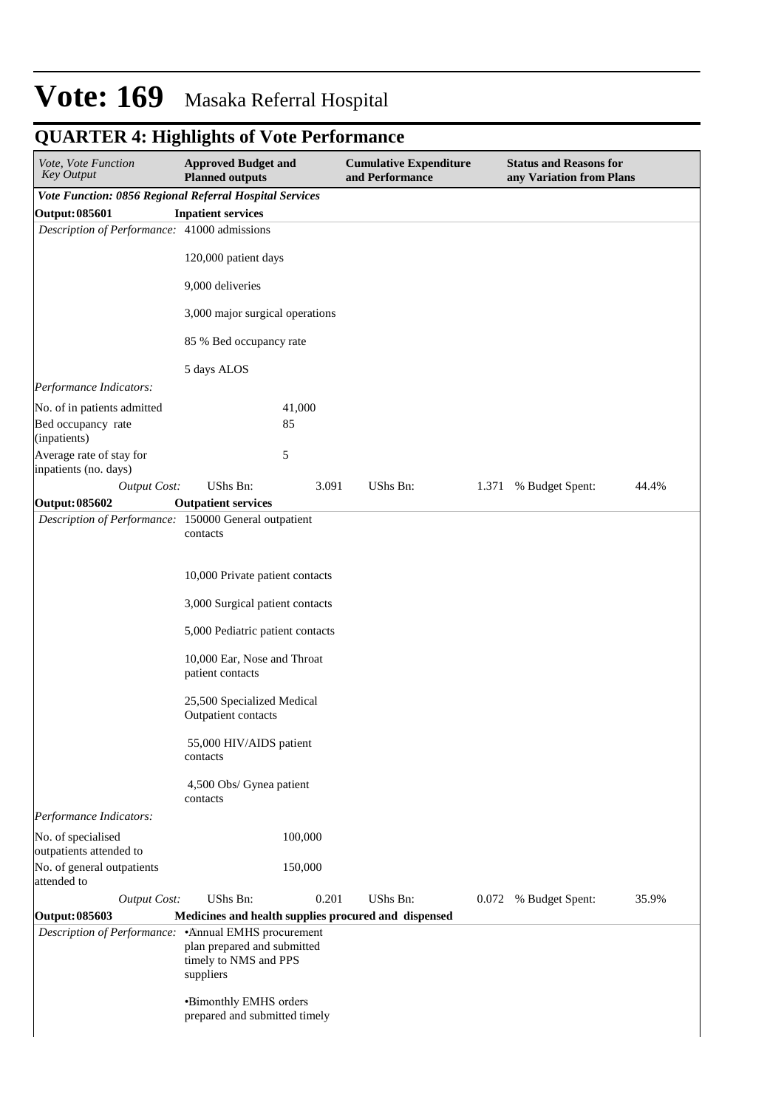| Vote, Vote Function<br><b>Key Output</b>                | <b>Approved Budget and</b><br><b>Planned outputs</b>              |         | <b>Cumulative Expenditure</b><br>and Performance     |       | <b>Status and Reasons for</b><br>any Variation from Plans |       |  |
|---------------------------------------------------------|-------------------------------------------------------------------|---------|------------------------------------------------------|-------|-----------------------------------------------------------|-------|--|
| Vote Function: 0856 Regional Referral Hospital Services |                                                                   |         |                                                      |       |                                                           |       |  |
| Output: 085601                                          | <b>Inpatient services</b>                                         |         |                                                      |       |                                                           |       |  |
| Description of Performance: 41000 admissions            |                                                                   |         |                                                      |       |                                                           |       |  |
|                                                         | 120,000 patient days                                              |         |                                                      |       |                                                           |       |  |
|                                                         | 9,000 deliveries                                                  |         |                                                      |       |                                                           |       |  |
|                                                         | 3,000 major surgical operations                                   |         |                                                      |       |                                                           |       |  |
|                                                         | 85 % Bed occupancy rate                                           |         |                                                      |       |                                                           |       |  |
|                                                         | 5 days ALOS                                                       |         |                                                      |       |                                                           |       |  |
| Performance Indicators:                                 |                                                                   |         |                                                      |       |                                                           |       |  |
| No. of in patients admitted                             |                                                                   | 41,000  |                                                      |       |                                                           |       |  |
| Bed occupancy rate<br>(inpatients)                      |                                                                   | 85      |                                                      |       |                                                           |       |  |
| Average rate of stay for<br>inpatients (no. days)       |                                                                   | 5       |                                                      |       |                                                           |       |  |
| <b>Output Cost:</b>                                     | UShs Bn:                                                          | 3.091   | UShs Bn:                                             | 1.371 | % Budget Spent:                                           | 44.4% |  |
| Output: 085602                                          | <b>Outpatient services</b>                                        |         |                                                      |       |                                                           |       |  |
| Description of Performance: 150000 General outpatient   | contacts                                                          |         |                                                      |       |                                                           |       |  |
|                                                         | 10,000 Private patient contacts                                   |         |                                                      |       |                                                           |       |  |
|                                                         | 3,000 Surgical patient contacts                                   |         |                                                      |       |                                                           |       |  |
|                                                         | 5,000 Pediatric patient contacts                                  |         |                                                      |       |                                                           |       |  |
|                                                         | 10,000 Ear, Nose and Throat<br>patient contacts                   |         |                                                      |       |                                                           |       |  |
|                                                         | 25,500 Specialized Medical<br>Outpatient contacts                 |         |                                                      |       |                                                           |       |  |
|                                                         | 55,000 HIV/AIDS patient<br>contacts                               |         |                                                      |       |                                                           |       |  |
|                                                         | 4,500 Obs/ Gynea patient<br>contacts                              |         |                                                      |       |                                                           |       |  |
| Performance Indicators:                                 |                                                                   |         |                                                      |       |                                                           |       |  |
| No. of specialised<br>outpatients attended to           |                                                                   | 100,000 |                                                      |       |                                                           |       |  |
| No. of general outpatients<br>attended to               |                                                                   | 150,000 |                                                      |       |                                                           |       |  |
| <b>Output Cost:</b>                                     | UShs Bn:                                                          | 0.201   | UShs Bn:                                             |       | 0.072 % Budget Spent:                                     | 35.9% |  |
| Output: 085603                                          |                                                                   |         | Medicines and health supplies procured and dispensed |       |                                                           |       |  |
| Description of Performance: . Annual EMHS procurement   | plan prepared and submitted<br>timely to NMS and PPS<br>suppliers |         |                                                      |       |                                                           |       |  |
|                                                         | •Bimonthly EMHS orders<br>prepared and submitted timely           |         |                                                      |       |                                                           |       |  |

# **QUARTER 4: Highlights of Vote Performance**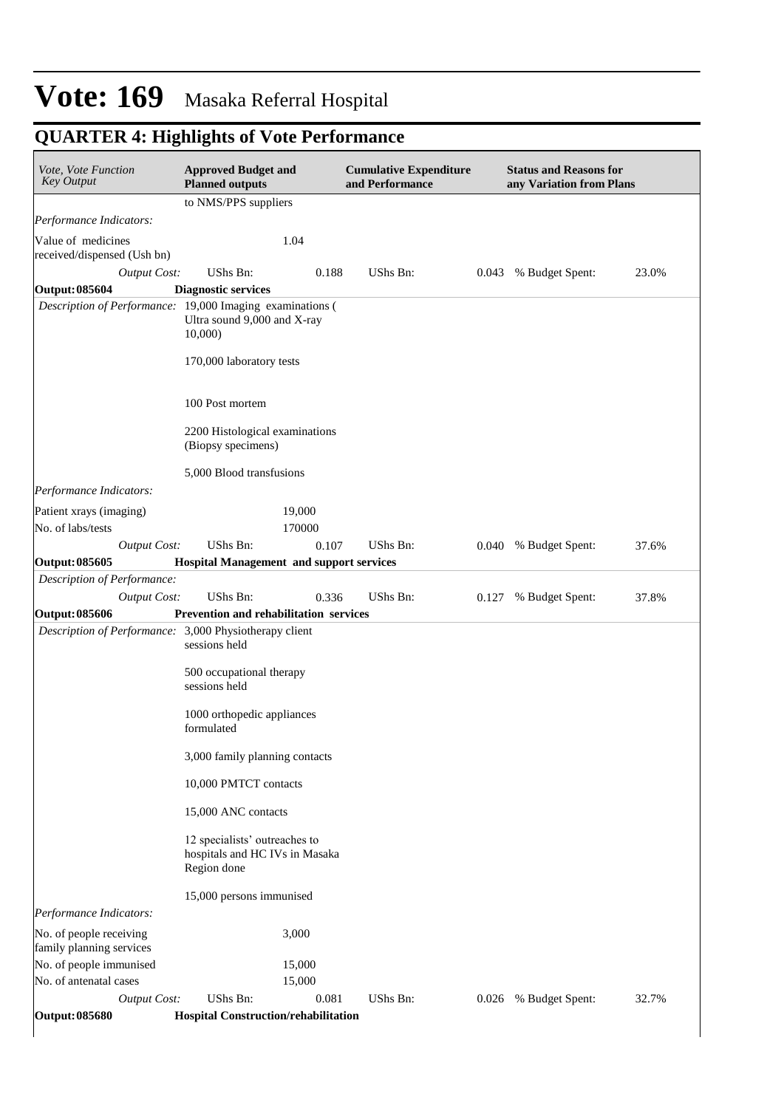# **QUARTER 4: Highlights of Vote Performance**

| Vote, Vote Function<br><b>Key Output</b>                  | <b>Approved Budget and</b><br><b>Planned outputs</b>                           |                  | <b>Cumulative Expenditure</b><br>and Performance |       | <b>Status and Reasons for</b><br>any Variation from Plans |       |  |  |
|-----------------------------------------------------------|--------------------------------------------------------------------------------|------------------|--------------------------------------------------|-------|-----------------------------------------------------------|-------|--|--|
|                                                           | to NMS/PPS suppliers                                                           |                  |                                                  |       |                                                           |       |  |  |
| Performance Indicators:                                   |                                                                                |                  |                                                  |       |                                                           |       |  |  |
| Value of medicines<br>received/dispensed (Ush bn)         |                                                                                | 1.04             |                                                  |       |                                                           |       |  |  |
| <b>Output Cost:</b>                                       | UShs Bn:                                                                       | 0.188            | UShs Bn:                                         | 0.043 | % Budget Spent:                                           | 23.0% |  |  |
| <b>Output: 085604</b>                                     | <b>Diagnostic services</b>                                                     |                  |                                                  |       |                                                           |       |  |  |
| Description of Performance: 19,000 Imaging examinations ( | Ultra sound 9,000 and X-ray<br>10,000                                          |                  |                                                  |       |                                                           |       |  |  |
|                                                           | 170,000 laboratory tests                                                       |                  |                                                  |       |                                                           |       |  |  |
|                                                           | 100 Post mortem                                                                |                  |                                                  |       |                                                           |       |  |  |
|                                                           | 2200 Histological examinations<br>(Biopsy specimens)                           |                  |                                                  |       |                                                           |       |  |  |
|                                                           | 5,000 Blood transfusions                                                       |                  |                                                  |       |                                                           |       |  |  |
| Performance Indicators:                                   |                                                                                |                  |                                                  |       |                                                           |       |  |  |
| Patient xrays (imaging)<br>No. of labs/tests              |                                                                                | 19,000<br>170000 |                                                  |       |                                                           |       |  |  |
| <b>Output Cost:</b>                                       | UShs Bn:                                                                       | 0.107            | UShs Bn:                                         | 0.040 | % Budget Spent:                                           | 37.6% |  |  |
| <b>Output: 085605</b><br>Description of Performance:      | <b>Hospital Management and support services</b>                                |                  |                                                  |       |                                                           |       |  |  |
| <b>Output Cost:</b>                                       | <b>UShs Bn:</b>                                                                | 0.336            | UShs Bn:                                         | 0.127 | % Budget Spent:                                           | 37.8% |  |  |
| <b>Output: 085606</b>                                     | Prevention and rehabilitation services                                         |                  |                                                  |       |                                                           |       |  |  |
| Description of Performance: 3,000 Physiotherapy client    | sessions held                                                                  |                  |                                                  |       |                                                           |       |  |  |
|                                                           | 500 occupational therapy<br>sessions held                                      |                  |                                                  |       |                                                           |       |  |  |
|                                                           | 1000 orthopedic appliances<br>formulated                                       |                  |                                                  |       |                                                           |       |  |  |
|                                                           | 3,000 family planning contacts                                                 |                  |                                                  |       |                                                           |       |  |  |
|                                                           | 10,000 PMTCT contacts                                                          |                  |                                                  |       |                                                           |       |  |  |
|                                                           | 15,000 ANC contacts                                                            |                  |                                                  |       |                                                           |       |  |  |
|                                                           | 12 specialists' outreaches to<br>hospitals and HC IVs in Masaka<br>Region done |                  |                                                  |       |                                                           |       |  |  |
|                                                           | 15,000 persons immunised                                                       |                  |                                                  |       |                                                           |       |  |  |
| Performance Indicators:                                   |                                                                                |                  |                                                  |       |                                                           |       |  |  |
| No. of people receiving<br>family planning services       |                                                                                | 3,000            |                                                  |       |                                                           |       |  |  |
| No. of people immunised                                   |                                                                                | 15,000           |                                                  |       |                                                           |       |  |  |
| No. of antenatal cases                                    |                                                                                | 15,000           |                                                  |       |                                                           |       |  |  |
| <b>Output Cost:</b>                                       | UShs Bn:                                                                       | 0.081            | UShs Bn:                                         | 0.026 | % Budget Spent:                                           | 32.7% |  |  |
| <b>Output: 085680</b>                                     | Hospital Construction/rehabilitation                                           |                  |                                                  |       |                                                           |       |  |  |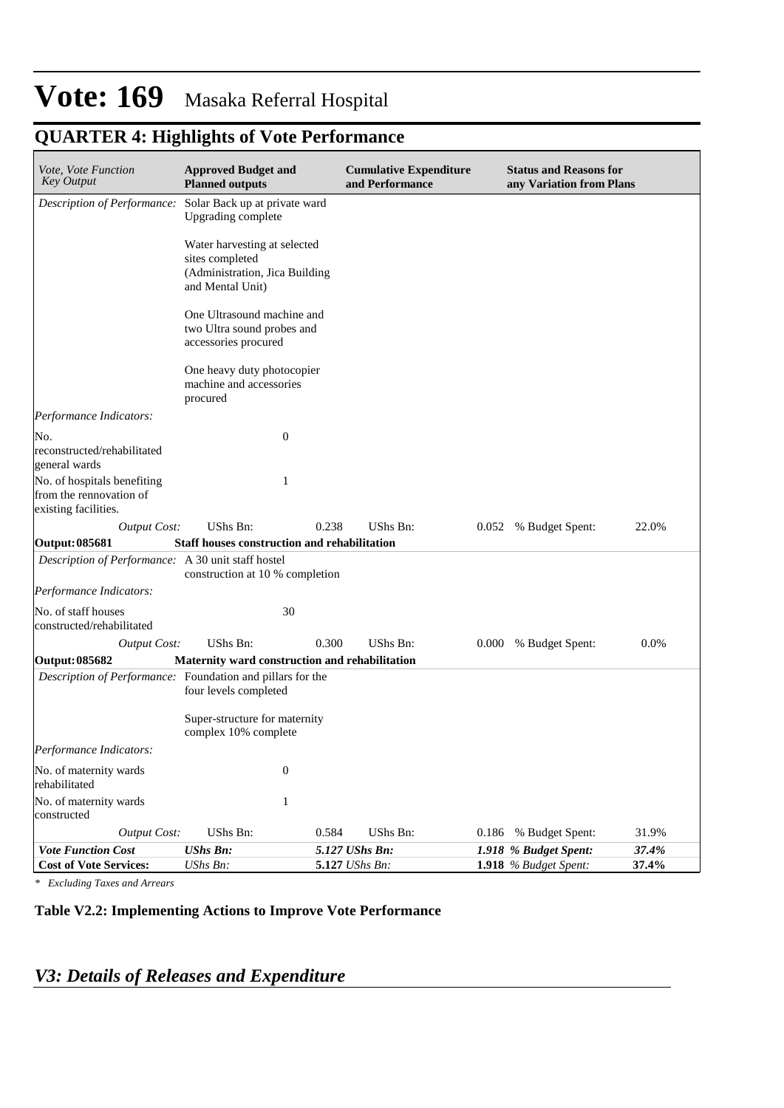# **QUARTER 4: Highlights of Vote Performance**

| <i>Vote, Vote Function</i><br><b>Key Output</b>                                | <b>Approved Budget and</b><br><b>Planned outputs</b>                                                  |                | <b>Cumulative Expenditure</b><br>and Performance |       | <b>Status and Reasons for</b><br>any Variation from Plans |       |  |
|--------------------------------------------------------------------------------|-------------------------------------------------------------------------------------------------------|----------------|--------------------------------------------------|-------|-----------------------------------------------------------|-------|--|
| Description of Performance: Solar Back up at private ward                      | Upgrading complete                                                                                    |                |                                                  |       |                                                           |       |  |
|                                                                                | Water harvesting at selected<br>sites completed<br>(Administration, Jica Building<br>and Mental Unit) |                |                                                  |       |                                                           |       |  |
|                                                                                | One Ultrasound machine and<br>two Ultra sound probes and<br>accessories procured                      |                |                                                  |       |                                                           |       |  |
|                                                                                | One heavy duty photocopier<br>machine and accessories<br>procured                                     |                |                                                  |       |                                                           |       |  |
| Performance Indicators:                                                        |                                                                                                       |                |                                                  |       |                                                           |       |  |
| No.<br>reconstructed/rehabilitated<br>general wards                            | $\boldsymbol{0}$                                                                                      |                |                                                  |       |                                                           |       |  |
| No. of hospitals benefiting<br>from the rennovation of<br>existing facilities. | 1                                                                                                     |                |                                                  |       |                                                           |       |  |
| <b>Output Cost:</b>                                                            | UShs Bn:                                                                                              | 0.238          | UShs Bn:                                         |       | 0.052 % Budget Spent:                                     | 22.0% |  |
| <b>Output: 085681</b>                                                          | <b>Staff houses construction and rehabilitation</b>                                                   |                |                                                  |       |                                                           |       |  |
| Description of Performance: A 30 unit staff hostel                             | construction at 10 % completion                                                                       |                |                                                  |       |                                                           |       |  |
| Performance Indicators:                                                        |                                                                                                       |                |                                                  |       |                                                           |       |  |
| No. of staff houses<br>constructed/rehabilitated                               | 30                                                                                                    |                |                                                  |       |                                                           |       |  |
| <b>Output Cost:</b>                                                            | UShs Bn:                                                                                              | 0.300          | UShs Bn:                                         | 0.000 | % Budget Spent:                                           | 0.0%  |  |
| Output: 085682                                                                 | Maternity ward construction and rehabilitation                                                        |                |                                                  |       |                                                           |       |  |
| Description of Performance: Foundation and pillars for the                     | four levels completed                                                                                 |                |                                                  |       |                                                           |       |  |
|                                                                                | Super-structure for maternity<br>complex 10% complete                                                 |                |                                                  |       |                                                           |       |  |
| Performance Indicators:                                                        |                                                                                                       |                |                                                  |       |                                                           |       |  |
| No. of maternity wards<br>rehabilitated                                        | $\boldsymbol{0}$                                                                                      |                |                                                  |       |                                                           |       |  |
| No. of maternity wards<br>constructed                                          | $\mathbf{1}$                                                                                          |                |                                                  |       |                                                           |       |  |
| <b>Output Cost:</b>                                                            | UShs Bn:                                                                                              | 0.584          | UShs Bn:                                         | 0.186 | % Budget Spent:                                           | 31.9% |  |
| <b>Vote Function Cost</b>                                                      | <b>UShs Bn:</b>                                                                                       | 5.127 UShs Bn: |                                                  |       | 1.918 % Budget Spent:                                     | 37.4% |  |
| <b>Cost of Vote Services:</b>                                                  | UShs Bn:                                                                                              | 5.127 UShs Bn: |                                                  |       | 1.918 % Budget Spent:                                     | 37.4% |  |

*\* Excluding Taxes and Arrears*

#### **Table V2.2: Implementing Actions to Improve Vote Performance**

# *V3: Details of Releases and Expenditure*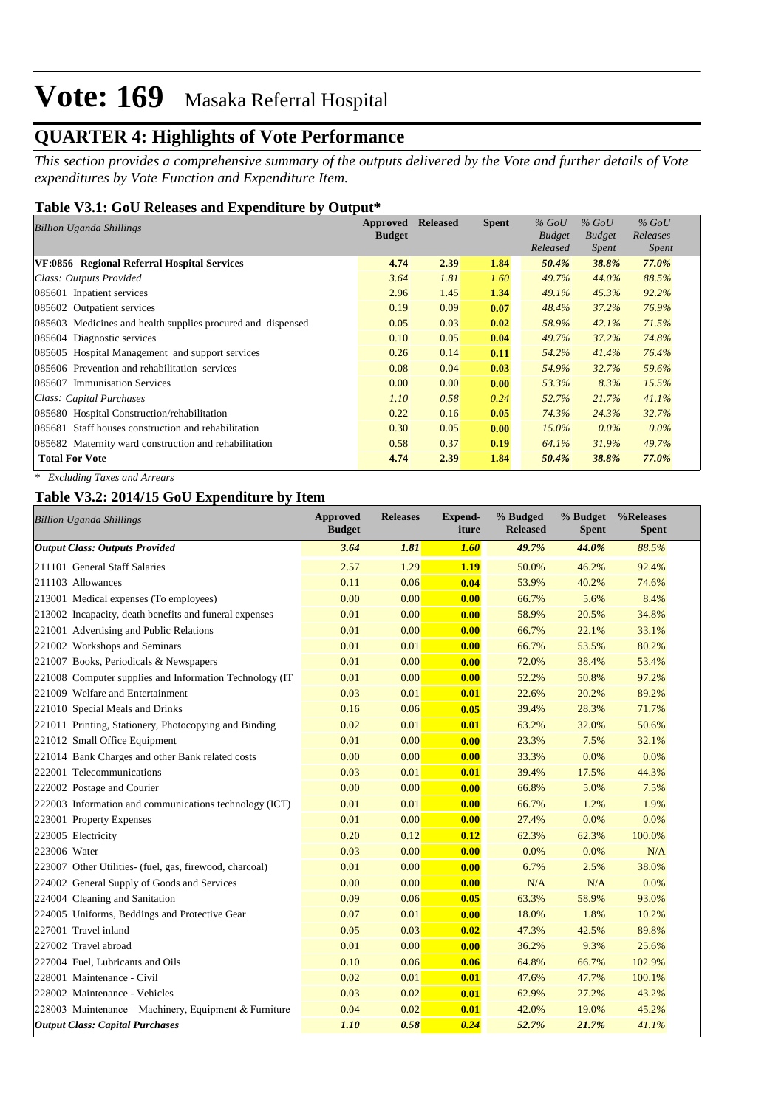## **QUARTER 4: Highlights of Vote Performance**

*This section provides a comprehensive summary of the outputs delivered by the Vote and further details of Vote expenditures by Vote Function and Expenditure Item.*

### **Table V3.1: GoU Releases and Expenditure by Output\***

| <b>Billion Uganda Shillings</b>                             | Approved      | <b>Released</b> | <b>Spent</b> | $%$ GoU       | $%$ GoU       | $%$ GoU  |
|-------------------------------------------------------------|---------------|-----------------|--------------|---------------|---------------|----------|
|                                                             | <b>Budget</b> |                 |              | <b>Budget</b> | <b>Budget</b> | Releases |
|                                                             |               |                 |              | Released      | Spent         | Spent    |
| VF:0856 Regional Referral Hospital Services                 | 4.74          | 2.39            | 1.84         | 50.4%         | 38.8%         | 77.0%    |
| Class: Outputs Provided                                     | 3.64          | 1.81            | 1.60         | 49.7%         | 44.0%         | 88.5%    |
| 085601 Inpatient services                                   | 2.96          | 1.45            | 1.34         | 49.1%         | 45.3%         | 92.2%    |
| 085602 Outpatient services                                  | 0.19          | 0.09            | 0.07         | 48.4%         | 37.2%         | 76.9%    |
| 085603 Medicines and health supplies procured and dispensed | 0.05          | 0.03            | 0.02         | 58.9%         | 42.1%         | 71.5%    |
| 085604 Diagnostic services                                  | 0.10          | 0.05            | 0.04         | 49.7%         | 37.2%         | 74.8%    |
| 085605 Hospital Management and support services             | 0.26          | 0.14            | 0.11         | 54.2%         | 41.4%         | 76.4%    |
| 085606 Prevention and rehabilitation services               | 0.08          | 0.04            | 0.03         | 54.9%         | 32.7%         | 59.6%    |
| 085607 Immunisation Services                                | 0.00          | 0.00            | 0.00         | 53.3%         | 8.3%          | 15.5%    |
| Class: Capital Purchases                                    | 1.10          | 0.58            | 0.24         | 52.7%         | 21.7%         | 41.1%    |
| 085680 Hospital Construction/rehabilitation                 | 0.22          | 0.16            | 0.05         | 74.3%         | 24.3%         | 32.7%    |
| 085681 Staff houses construction and rehabilitation         | 0.30          | 0.05            | 0.00         | $15.0\%$      | $0.0\%$       | $0.0\%$  |
| 085682 Maternity ward construction and rehabilitation       | 0.58          | 0.37            | 0.19         | 64.1%         | 31.9%         | 49.7%    |
| <b>Total For Vote</b>                                       | 4.74          | 2.39            | 1.84         | 50.4%         | 38.8%         | 77.0%    |

*\* Excluding Taxes and Arrears*

### **Table V3.2: 2014/15 GoU Expenditure by Item**

| <b>Billion Uganda Shillings</b>                          | <b>Approved</b><br><b>Budget</b> | <b>Releases</b> | <b>Expend-</b><br>iture | % Budged<br><b>Released</b> | % Budget<br><b>Spent</b> | %Releases<br><b>Spent</b> |
|----------------------------------------------------------|----------------------------------|-----------------|-------------------------|-----------------------------|--------------------------|---------------------------|
| <b>Output Class: Outputs Provided</b>                    | 3.64                             | 1.81            | 1.60                    | 49.7%                       | 44.0%                    | 88.5%                     |
| 211101 General Staff Salaries                            | 2.57                             | 1.29            | 1.19                    | 50.0%                       | 46.2%                    | 92.4%                     |
| 211103 Allowances                                        | 0.11                             | 0.06            | 0.04                    | 53.9%                       | 40.2%                    | 74.6%                     |
| 213001 Medical expenses (To employees)                   | 0.00                             | 0.00            | 0.00                    | 66.7%                       | 5.6%                     | 8.4%                      |
| 213002 Incapacity, death benefits and funeral expenses   | 0.01                             | 0.00            | 0.00                    | 58.9%                       | 20.5%                    | 34.8%                     |
| 221001 Advertising and Public Relations                  | 0.01                             | 0.00            | 0.00                    | 66.7%                       | 22.1%                    | 33.1%                     |
| 221002 Workshops and Seminars                            | 0.01                             | 0.01            | 0.00                    | 66.7%                       | 53.5%                    | 80.2%                     |
| 221007 Books, Periodicals & Newspapers                   | 0.01                             | 0.00            | 0.00                    | 72.0%                       | 38.4%                    | 53.4%                     |
| 221008 Computer supplies and Information Technology (IT) | 0.01                             | 0.00            | 0.00                    | 52.2%                       | 50.8%                    | 97.2%                     |
| 221009 Welfare and Entertainment                         | 0.03                             | 0.01            | 0.01                    | 22.6%                       | 20.2%                    | 89.2%                     |
| 221010 Special Meals and Drinks                          | 0.16                             | 0.06            | 0.05                    | 39.4%                       | 28.3%                    | 71.7%                     |
| 221011 Printing, Stationery, Photocopying and Binding    | 0.02                             | 0.01            | 0.01                    | 63.2%                       | 32.0%                    | 50.6%                     |
| 221012 Small Office Equipment                            | 0.01                             | 0.00            | 0.00                    | 23.3%                       | 7.5%                     | 32.1%                     |
| 221014 Bank Charges and other Bank related costs         | 0.00                             | 0.00            | 0.00                    | 33.3%                       | 0.0%                     | 0.0%                      |
| 222001 Telecommunications                                | 0.03                             | 0.01            | 0.01                    | 39.4%                       | 17.5%                    | 44.3%                     |
| 222002 Postage and Courier                               | 0.00                             | 0.00            | 0.00                    | 66.8%                       | 5.0%                     | 7.5%                      |
| 222003 Information and communications technology (ICT)   | 0.01                             | 0.01            | 0.00                    | 66.7%                       | 1.2%                     | 1.9%                      |
| 223001 Property Expenses                                 | 0.01                             | 0.00            | 0.00                    | 27.4%                       | 0.0%                     | 0.0%                      |
| 223005 Electricity                                       | 0.20                             | 0.12            | 0.12                    | 62.3%                       | 62.3%                    | 100.0%                    |
| 223006 Water                                             | 0.03                             | 0.00            | 0.00                    | 0.0%                        | 0.0%                     | N/A                       |
| 223007 Other Utilities- (fuel, gas, firewood, charcoal)  | 0.01                             | 0.00            | 0.00                    | 6.7%                        | 2.5%                     | 38.0%                     |
| 224002 General Supply of Goods and Services              | 0.00                             | 0.00            | 0.00                    | N/A                         | N/A                      | $0.0\%$                   |
| 224004 Cleaning and Sanitation                           | 0.09                             | 0.06            | 0.05                    | 63.3%                       | 58.9%                    | 93.0%                     |
| 224005 Uniforms, Beddings and Protective Gear            | 0.07                             | 0.01            | 0.00                    | 18.0%                       | 1.8%                     | 10.2%                     |
| 227001 Travel inland                                     | 0.05                             | 0.03            | 0.02                    | 47.3%                       | 42.5%                    | 89.8%                     |
| 227002 Travel abroad                                     | 0.01                             | 0.00            | 0.00                    | 36.2%                       | 9.3%                     | 25.6%                     |
| 227004 Fuel, Lubricants and Oils                         | 0.10                             | 0.06            | 0.06                    | 64.8%                       | 66.7%                    | 102.9%                    |
| 228001 Maintenance - Civil                               | 0.02                             | 0.01            | 0.01                    | 47.6%                       | 47.7%                    | 100.1%                    |
| 228002 Maintenance - Vehicles                            | 0.03                             | 0.02            | 0.01                    | 62.9%                       | 27.2%                    | 43.2%                     |
| 228003 Maintenance – Machinery, Equipment & Furniture    | 0.04                             | 0.02            | 0.01                    | 42.0%                       | 19.0%                    | 45.2%                     |
| <b>Output Class: Capital Purchases</b>                   | 1.10                             | 0.58            | 0.24                    | 52.7%                       | 21.7%                    | 41.1%                     |